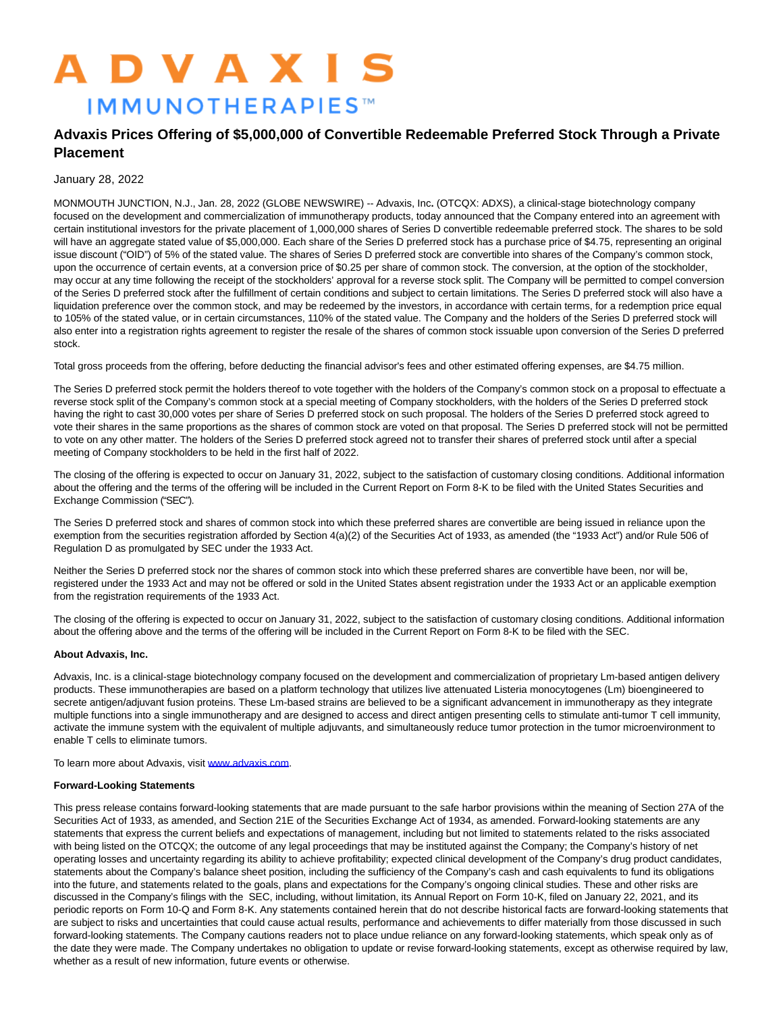# **ADVAXIS IMMUNOTHERAPIES™**

# **Advaxis Prices Offering of \$5,000,000 of Convertible Redeemable Preferred Stock Through a Private Placement**

## January 28, 2022

MONMOUTH JUNCTION, N.J., Jan. 28, 2022 (GLOBE NEWSWIRE) -- Advaxis, Inc**.** (OTCQX: ADXS), a clinical-stage biotechnology company focused on the development and commercialization of immunotherapy products, today announced that the Company entered into an agreement with certain institutional investors for the private placement of 1,000,000 shares of Series D convertible redeemable preferred stock. The shares to be sold will have an aggregate stated value of \$5,000,000. Each share of the Series D preferred stock has a purchase price of \$4.75, representing an original issue discount ("OID") of 5% of the stated value. The shares of Series D preferred stock are convertible into shares of the Company's common stock, upon the occurrence of certain events, at a conversion price of \$0.25 per share of common stock. The conversion, at the option of the stockholder, may occur at any time following the receipt of the stockholders' approval for a reverse stock split. The Company will be permitted to compel conversion of the Series D preferred stock after the fulfillment of certain conditions and subject to certain limitations. The Series D preferred stock will also have a liquidation preference over the common stock, and may be redeemed by the investors, in accordance with certain terms, for a redemption price equal to 105% of the stated value, or in certain circumstances, 110% of the stated value. The Company and the holders of the Series D preferred stock will also enter into a registration rights agreement to register the resale of the shares of common stock issuable upon conversion of the Series D preferred stock.

Total gross proceeds from the offering, before deducting the financial advisor's fees and other estimated offering expenses, are \$4.75 million.

The Series D preferred stock permit the holders thereof to vote together with the holders of the Company's common stock on a proposal to effectuate a reverse stock split of the Company's common stock at a special meeting of Company stockholders, with the holders of the Series D preferred stock having the right to cast 30,000 votes per share of Series D preferred stock on such proposal. The holders of the Series D preferred stock agreed to vote their shares in the same proportions as the shares of common stock are voted on that proposal. The Series D preferred stock will not be permitted to vote on any other matter. The holders of the Series D preferred stock agreed not to transfer their shares of preferred stock until after a special meeting of Company stockholders to be held in the first half of 2022.

The closing of the offering is expected to occur on January 31, 2022, subject to the satisfaction of customary closing conditions. Additional information about the offering and the terms of the offering will be included in the Current Report on Form 8-K to be filed with the United States Securities and Exchange Commission ("SEC").

The Series D preferred stock and shares of common stock into which these preferred shares are convertible are being issued in reliance upon the exemption from the securities registration afforded by Section 4(a)(2) of the Securities Act of 1933, as amended (the "1933 Act") and/or Rule 506 of Regulation D as promulgated by SEC under the 1933 Act.

Neither the Series D preferred stock nor the shares of common stock into which these preferred shares are convertible have been, nor will be, registered under the 1933 Act and may not be offered or sold in the United States absent registration under the 1933 Act or an applicable exemption from the registration requirements of the 1933 Act.

The closing of the offering is expected to occur on January 31, 2022, subject to the satisfaction of customary closing conditions. Additional information about the offering above and the terms of the offering will be included in the Current Report on Form 8-K to be filed with the SEC.

### **About Advaxis, Inc.**

Advaxis, Inc. is a clinical-stage biotechnology company focused on the development and commercialization of proprietary Lm-based antigen delivery products. These immunotherapies are based on a platform technology that utilizes live attenuated Listeria monocytogenes (Lm) bioengineered to secrete antigen/adjuvant fusion proteins. These Lm-based strains are believed to be a significant advancement in immunotherapy as they integrate multiple functions into a single immunotherapy and are designed to access and direct antigen presenting cells to stimulate anti-tumor T cell immunity, activate the immune system with the equivalent of multiple adjuvants, and simultaneously reduce tumor protection in the tumor microenvironment to enable T cells to eliminate tumors.

To learn more about Advaxis, visi[t www.advaxis.com.](http://www.advaxis.com/)

### **Forward-Looking Statements**

This press release contains forward-looking statements that are made pursuant to the safe harbor provisions within the meaning of Section 27A of the Securities Act of 1933, as amended, and Section 21E of the Securities Exchange Act of 1934, as amended. Forward-looking statements are any statements that express the current beliefs and expectations of management, including but not limited to statements related to the risks associated with being listed on the OTCQX; the outcome of any legal proceedings that may be instituted against the Company; the Company's history of net operating losses and uncertainty regarding its ability to achieve profitability; expected clinical development of the Company's drug product candidates, statements about the Company's balance sheet position, including the sufficiency of the Company's cash and cash equivalents to fund its obligations into the future, and statements related to the goals, plans and expectations for the Company's ongoing clinical studies. These and other risks are discussed in the Company's filings with the SEC, including, without limitation, its Annual Report on Form 10-K, filed on January 22, 2021, and its periodic reports on Form 10-Q and Form 8-K. Any statements contained herein that do not describe historical facts are forward-looking statements that are subject to risks and uncertainties that could cause actual results, performance and achievements to differ materially from those discussed in such forward-looking statements. The Company cautions readers not to place undue reliance on any forward-looking statements, which speak only as of the date they were made. The Company undertakes no obligation to update or revise forward-looking statements, except as otherwise required by law, whether as a result of new information, future events or otherwise.